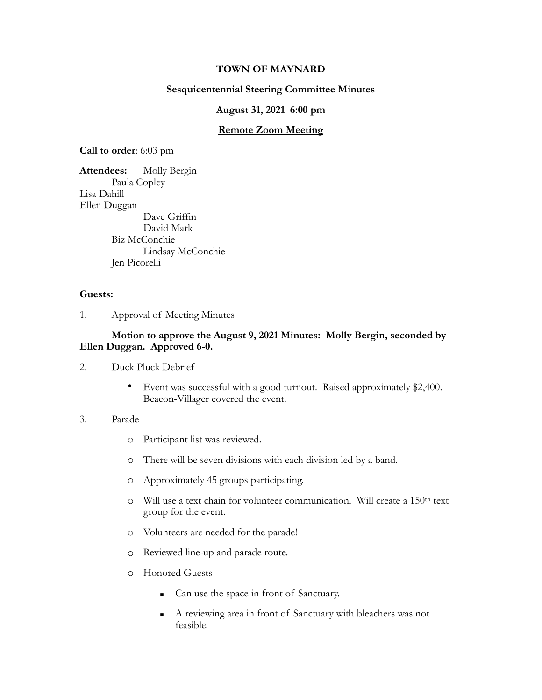# **TOWN OF MAYNARD**

# **Sesquicentennial Steering Committee Minutes**

## **August 31, 2021 6:00 pm**

## **Remote Zoom Meeting**

**Call to order**: 6:03 pm

**Attendees:** Molly Bergin Paula Copley Lisa Dahill Ellen Duggan Dave Griffin David Mark Biz McConchie Lindsay McConchie Jen Picorelli

## **Guests:**

1. Approval of Meeting Minutes

# **Motion to approve the August 9, 2021 Minutes: Molly Bergin, seconded by Ellen Duggan. Approved 6-0.**

- 2. Duck Pluck Debrief
	- Event was successful with a good turnout. Raised approximately \$2,400. Beacon-Villager covered the event.

#### 3. Parade

- o Participant list was reviewed.
- o There will be seven divisions with each division led by a band.
- o Approximately 45 groups participating.
- o Will use a text chain for volunteer communication. Will create a 150th text group for the event.
- o Volunteers are needed for the parade!
- o Reviewed line-up and parade route.
- o Honored Guests
	- Can use the space in front of Sanctuary.
	- A reviewing area in front of Sanctuary with bleachers was not feasible.